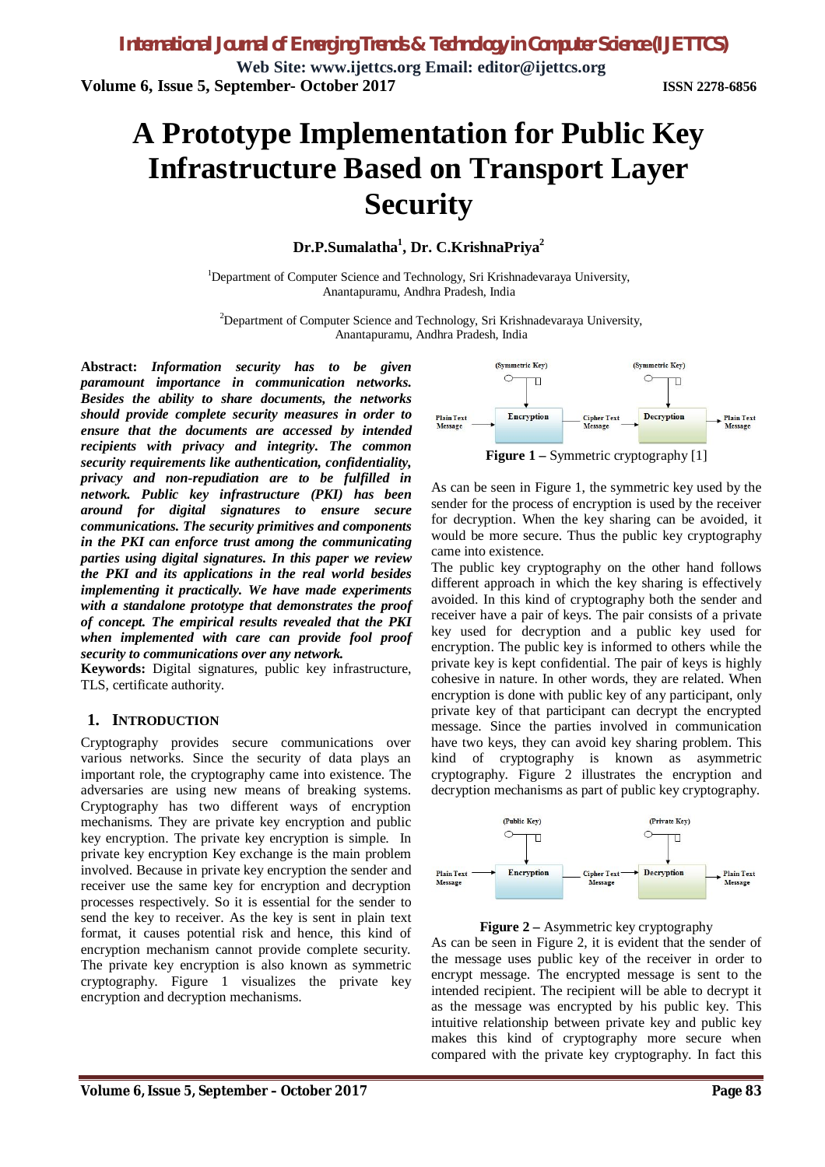# **A Prototype Implementation for Public Key Infrastructure Based on Transport Layer Security**

#### **Dr.P.Sumalatha<sup>1</sup> , Dr. C.KrishnaPriya<sup>2</sup>**

<sup>1</sup>Department of Computer Science and Technology, Sri Krishnadevaraya University, Anantapuramu, Andhra Pradesh, India

<sup>2</sup>Department of Computer Science and Technology, Sri Krishnadevaraya University, Anantapuramu, Andhra Pradesh, India

**Abstract:** *Information security has to be given paramount importance in communication networks. Besides the ability to share documents, the networks should provide complete security measures in order to ensure that the documents are accessed by intended recipients with privacy and integrity. The common security requirements like authentication, confidentiality, privacy and non-repudiation are to be fulfilled in network. Public key infrastructure (PKI) has been around for digital signatures to ensure secure communications. The security primitives and components in the PKI can enforce trust among the communicating parties using digital signatures. In this paper we review the PKI and its applications in the real world besides implementing it practically. We have made experiments with a standalone prototype that demonstrates the proof of concept. The empirical results revealed that the PKI when implemented with care can provide fool proof security to communications over any network.* 

**Keywords:** Digital signatures, public key infrastructure, TLS, certificate authority.

#### **1. INTRODUCTION**

Cryptography provides secure communications over various networks. Since the security of data plays an important role, the cryptography came into existence. The adversaries are using new means of breaking systems. Cryptography has two different ways of encryption mechanisms. They are private key encryption and public key encryption. The private key encryption is simple. In private key encryption Key exchange is the main problem involved. Because in private key encryption the sender and receiver use the same key for encryption and decryption processes respectively. So it is essential for the sender to send the key to receiver. As the key is sent in plain text format, it causes potential risk and hence, this kind of encryption mechanism cannot provide complete security. The private key encryption is also known as symmetric cryptography. Figure 1 visualizes the private key encryption and decryption mechanisms.



As can be seen in Figure 1, the symmetric key used by the sender for the process of encryption is used by the receiver for decryption. When the key sharing can be avoided, it would be more secure. Thus the public key cryptography came into existence.

The public key cryptography on the other hand follows different approach in which the key sharing is effectively avoided. In this kind of cryptography both the sender and receiver have a pair of keys. The pair consists of a private key used for decryption and a public key used for encryption. The public key is informed to others while the private key is kept confidential. The pair of keys is highly cohesive in nature. In other words, they are related. When encryption is done with public key of any participant, only private key of that participant can decrypt the encrypted message. Since the parties involved in communication have two keys, they can avoid key sharing problem. This kind of cryptography is known as asymmetric cryptography. Figure 2 illustrates the encryption and decryption mechanisms as part of public key cryptography.



**Figure 2 –** Asymmetric key cryptography

As can be seen in Figure 2, it is evident that the sender of the message uses public key of the receiver in order to encrypt message. The encrypted message is sent to the intended recipient. The recipient will be able to decrypt it as the message was encrypted by his public key. This intuitive relationship between private key and public key makes this kind of cryptography more secure when compared with the private key cryptography. In fact this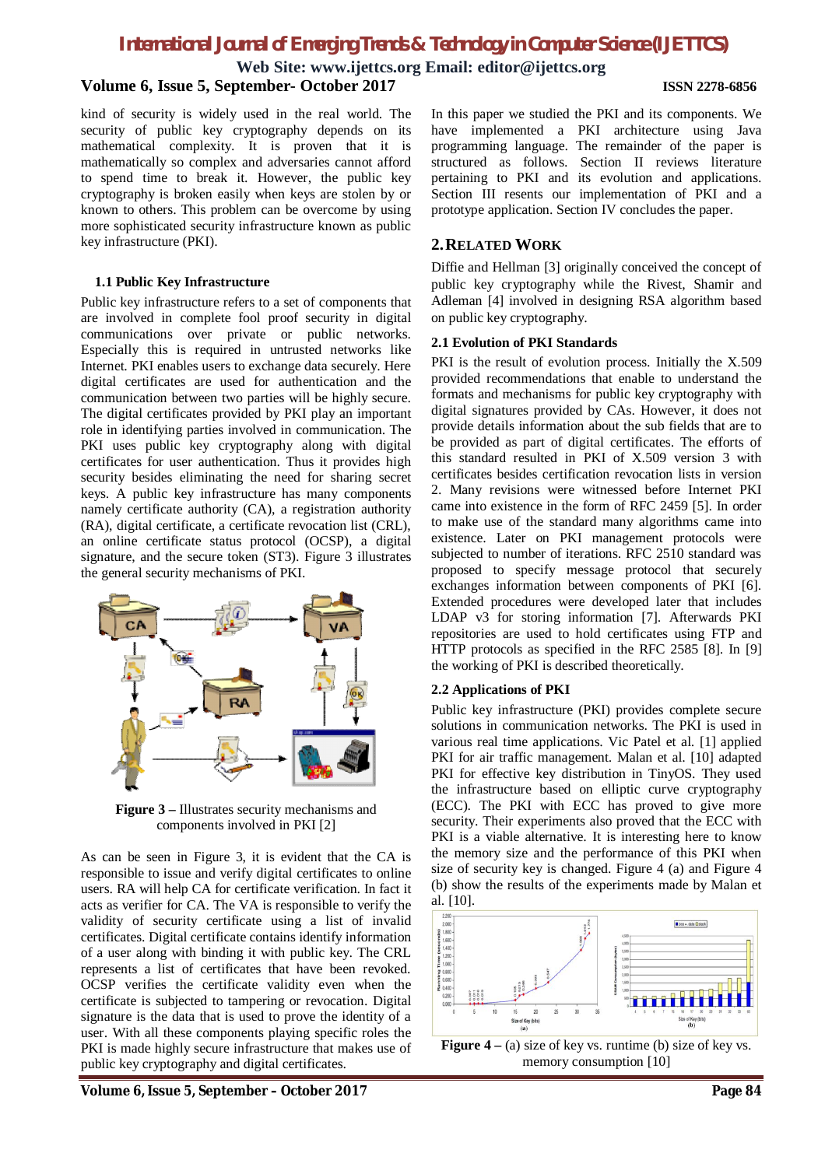**Web Site: www.ijettcs.org Email: editor@ijettcs.org**

### **Volume 6, Issue 5, September- October 2017 ISSN 2278-6856**

kind of security is widely used in the real world. The security of public key cryptography depends on its mathematical complexity. It is proven that it is mathematically so complex and adversaries cannot afford to spend time to break it. However, the public key cryptography is broken easily when keys are stolen by or known to others. This problem can be overcome by using more sophisticated security infrastructure known as public key infrastructure (PKI).

#### **1.1 Public Key Infrastructure**

Public key infrastructure refers to a set of components that are involved in complete fool proof security in digital communications over private or public networks. Especially this is required in untrusted networks like Internet. PKI enables users to exchange data securely. Here digital certificates are used for authentication and the communication between two parties will be highly secure. The digital certificates provided by PKI play an important role in identifying parties involved in communication. The PKI uses public key cryptography along with digital certificates for user authentication. Thus it provides high security besides eliminating the need for sharing secret keys. A public key infrastructure has many components namely certificate authority (CA), a registration authority (RA), digital certificate, a certificate revocation list (CRL), an online certificate status protocol (OCSP), a digital signature, and the secure token (ST3). Figure 3 illustrates the general security mechanisms of PKI.



**Figure 3 –** Illustrates security mechanisms and components involved in PKI [2]

As can be seen in Figure 3, it is evident that the CA is responsible to issue and verify digital certificates to online users. RA will help CA for certificate verification. In fact it acts as verifier for CA. The VA is responsible to verify the validity of security certificate using a list of invalid certificates. Digital certificate contains identify information of a user along with binding it with public key. The CRL represents a list of certificates that have been revoked. OCSP verifies the certificate validity even when the certificate is subjected to tampering or revocation. Digital signature is the data that is used to prove the identity of a user. With all these components playing specific roles the PKI is made highly secure infrastructure that makes use of public key cryptography and digital certificates.

In this paper we studied the PKI and its components. We have implemented a PKI architecture using Java programming language. The remainder of the paper is structured as follows. Section II reviews literature pertaining to PKI and its evolution and applications. Section III resents our implementation of PKI and a prototype application. Section IV concludes the paper.

#### **2.RELATED WORK**

Diffie and Hellman [3] originally conceived the concept of public key cryptography while the Rivest, Shamir and Adleman [4] involved in designing RSA algorithm based on public key cryptography.

#### **2.1 Evolution of PKI Standards**

PKI is the result of evolution process. Initially the X.509 provided recommendations that enable to understand the formats and mechanisms for public key cryptography with digital signatures provided by CAs. However, it does not provide details information about the sub fields that are to be provided as part of digital certificates. The efforts of this standard resulted in PKI of X.509 version 3 with certificates besides certification revocation lists in version 2. Many revisions were witnessed before Internet PKI came into existence in the form of RFC 2459 [5]. In order to make use of the standard many algorithms came into existence. Later on PKI management protocols were subjected to number of iterations. RFC 2510 standard was proposed to specify message protocol that securely exchanges information between components of PKI [6]. Extended procedures were developed later that includes LDAP v3 for storing information [7]. Afterwards PKI repositories are used to hold certificates using FTP and HTTP protocols as specified in the RFC 2585 [8]. In [9] the working of PKI is described theoretically.

#### **2.2 Applications of PKI**

Public key infrastructure (PKI) provides complete secure solutions in communication networks. The PKI is used in various real time applications. Vic Patel et al. [1] applied PKI for air traffic management. Malan et al. [10] adapted PKI for effective key distribution in TinyOS. They used the infrastructure based on elliptic curve cryptography (ECC). The PKI with ECC has proved to give more security. Their experiments also proved that the ECC with PKI is a viable alternative. It is interesting here to know the memory size and the performance of this PKI when size of security key is changed. Figure 4 (a) and Figure 4 (b) show the results of the experiments made by Malan et al. [10].

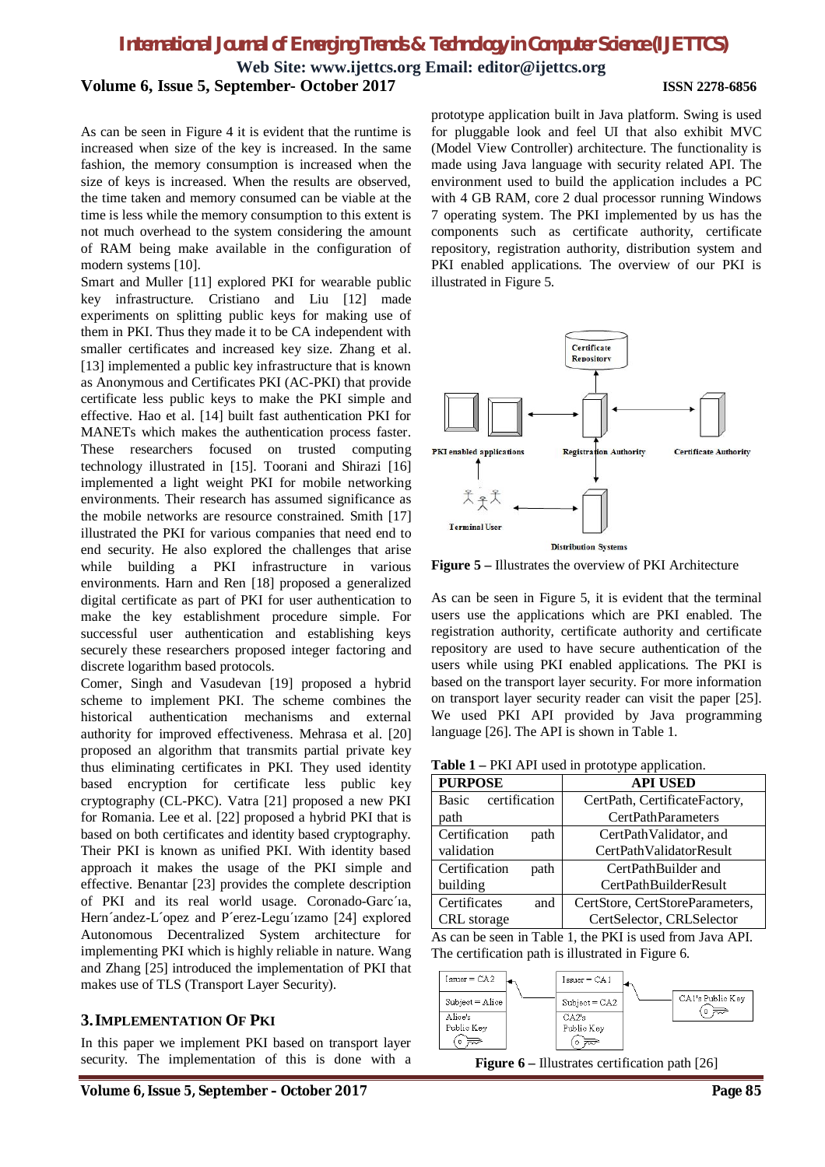**Web Site: www.ijettcs.org Email: editor@ijettcs.org**

**Volume 6, Issue 5, September- October 2017 ISSN 2278-6856**

As can be seen in Figure 4 it is evident that the runtime is increased when size of the key is increased. In the same fashion, the memory consumption is increased when the size of keys is increased. When the results are observed, the time taken and memory consumed can be viable at the time is less while the memory consumption to this extent is not much overhead to the system considering the amount of RAM being make available in the configuration of modern systems [10].

Smart and Muller [11] explored PKI for wearable public key infrastructure. Cristiano and Liu [12] made experiments on splitting public keys for making use of them in PKI. Thus they made it to be CA independent with smaller certificates and increased key size. Zhang et al. [13] implemented a public key infrastructure that is known as Anonymous and Certificates PKI (AC-PKI) that provide certificate less public keys to make the PKI simple and effective. Hao et al. [14] built fast authentication PKI for MANETs which makes the authentication process faster. These researchers focused on trusted computing technology illustrated in [15]. Toorani and Shirazi [16] implemented a light weight PKI for mobile networking environments. Their research has assumed significance as the mobile networks are resource constrained. Smith [17] illustrated the PKI for various companies that need end to end security. He also explored the challenges that arise while building a PKI infrastructure in various environments. Harn and Ren [18] proposed a generalized digital certificate as part of PKI for user authentication to make the key establishment procedure simple. For successful user authentication and establishing keys securely these researchers proposed integer factoring and discrete logarithm based protocols.

Comer, Singh and Vasudevan [19] proposed a hybrid scheme to implement PKI. The scheme combines the historical authentication mechanisms and external authority for improved effectiveness. Mehrasa et al. [20] proposed an algorithm that transmits partial private key thus eliminating certificates in PKI. They used identity based encryption for certificate less public key cryptography (CL-PKC). Vatra [21] proposed a new PKI for Romania. Lee et al. [22] proposed a hybrid PKI that is based on both certificates and identity based cryptography. Their PKI is known as unified PKI. With identity based approach it makes the usage of the PKI simple and effective. Benantar [23] provides the complete description of PKI and its real world usage. Coronado-Garc´ıa, Hern´andez-L´opez and P´erez-Legu´ızamo [24] explored Autonomous Decentralized System architecture for implementing PKI which is highly reliable in nature. Wang and Zhang [25] introduced the implementation of PKI that makes use of TLS (Transport Layer Security).

#### **3.IMPLEMENTATION OF PKI**

In this paper we implement PKI based on transport layer security. The implementation of this is done with a

prototype application built in Java platform. Swing is used for pluggable look and feel UI that also exhibit MVC (Model View Controller) architecture. The functionality is made using Java language with security related API. The environment used to build the application includes a PC with 4 GB RAM, core 2 dual processor running Windows 7 operating system. The PKI implemented by us has the components such as certificate authority, certificate repository, registration authority, distribution system and PKI enabled applications. The overview of our PKI is illustrated in Figure 5.



**Figure 5 –** Illustrates the overview of PKI Architecture

As can be seen in Figure 5, it is evident that the terminal users use the applications which are PKI enabled. The registration authority, certificate authority and certificate repository are used to have secure authentication of the users while using PKI enabled applications. The PKI is based on the transport layer security. For more information on transport layer security reader can visit the paper [25]. We used PKI API provided by Java programming language [26]. The API is shown in Table 1.

| <b>Table 1</b> – PKI API used in prototype application. |  |  |  |
|---------------------------------------------------------|--|--|--|
|---------------------------------------------------------|--|--|--|

| <b>PURPOSE</b>                | <b>API USED</b>                 |
|-------------------------------|---------------------------------|
| certification<br><b>Basic</b> | CertPath, CertificateFactory,   |
| path                          | <b>CertPathParameters</b>       |
| Certification<br>path         | CertPathValidator, and          |
| validation                    | CertPathValidatorResult         |
| Certification<br>path         | CertPathBuilder and             |
| building                      | CertPathBuilderResult           |
| Certificates<br>and           | CertStore, CertStoreParameters, |
| CRL storage                   | CertSelector, CRLSelector       |

As can be seen in Table 1, the PKI is used from Java API. The certification path is illustrated in Figure 6.



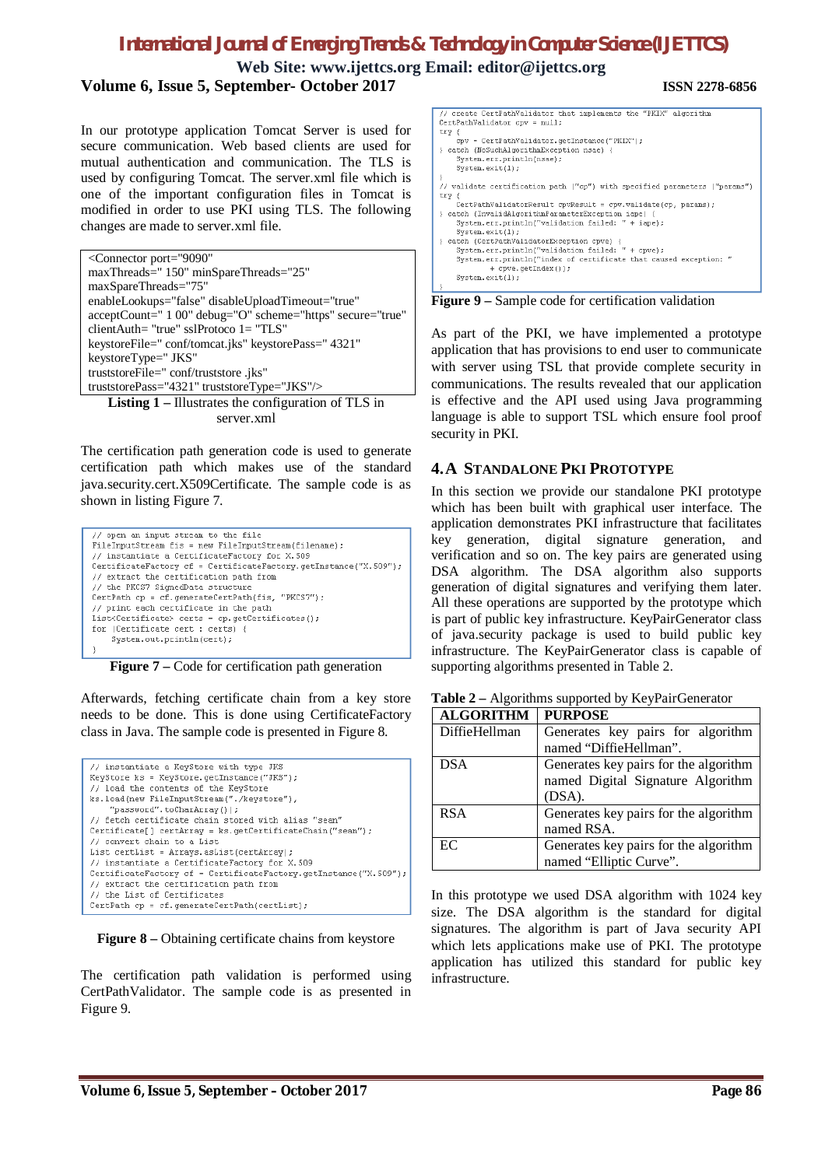**Web Site: www.ijettcs.org Email: editor@ijettcs.org Volume 6, Issue 5, September- October 2017 ISSN 2278-6856**

```
In our prototype application Tomcat Server is used for 
secure communication. Web based clients are used for 
mutual authentication and communication. The TLS is 
used by configuring Tomcat. The server.xml file which is 
one of the important configuration files in Tomcat is 
modified in order to use PKI using TLS. The following 
changes are made to server.xml file.
```

| <connector <="" port="9090" th=""></connector>             |
|------------------------------------------------------------|
| maxThreads="150" minSpareThreads="25"                      |
| maxSpareThreads="75"                                       |
| enableLookups="false" disableUploadTimeout="true"          |
| acceptCount=" 1 00" debug="O" scheme="https" secure="true" |
| clientAuth= "true" sslProtoco 1= "TLS"                     |
| keystoreFile=" conf/tomcat.jks" keystorePass=" 4321"       |
| keystoreType=" JKS"                                        |
| truststoreFile="conf/truststore.jks"                       |
| truststorePass="4321" truststoreType="JKS"/>               |
| <b>Listing 1</b> – Illustrates the configuration of TLS in |

server.xml

The certification path generation code is used to generate certification path which makes use of the standard java.security.cert.X509Certificate. The sample code is as shown in listing Figure 7.

| // open an input stream to the file                              |  |  |  |
|------------------------------------------------------------------|--|--|--|
| FileInputStream fis = new FileInputStream(filename);             |  |  |  |
| // instantiate a CertificateFactory for X.509                    |  |  |  |
| CertificateFactory cf = CertificateFactory.getInstance("X.509"); |  |  |  |
| // extract the certification path from                           |  |  |  |
| // the PKCS7 SignedData structure                                |  |  |  |
| CertPath $cp = cf.$ generateCertPath(fis, "PKCS7");              |  |  |  |
| // print each certificate in the path                            |  |  |  |
| $List\text{Certificate}\ge$ certs = cp.qetCertificates();        |  |  |  |
| for (Certificate cert : certs) {                                 |  |  |  |
| System.out.println(cert);                                        |  |  |  |
|                                                                  |  |  |  |

**Figure 7** – Code for certification path generation

Afterwards, fetching certificate chain from a key store needs to be done. This is done using CertificateFactory class in Java. The sample code is presented in Figure 8.

| // instantiate a KeyStore with type JKS<br>KeyStore ks = KeyStore.getInstance("JKS"); |  |  |  |
|---------------------------------------------------------------------------------------|--|--|--|
| // load the contents of the KeyStore                                                  |  |  |  |
|                                                                                       |  |  |  |
| ks.load(new FileInputStream("./keystore"),                                            |  |  |  |
| "password".toCharArray());                                                            |  |  |  |
| // fetch certificate chain stored with alias "sean"                                   |  |  |  |
| $Centified$ [] certArray = $ks.getCertifiedChain("seam");$                            |  |  |  |
| // convert chain to a List                                                            |  |  |  |
| List certList = Arrays.asList(certArray);                                             |  |  |  |
| // instantiate a CertificateFactory for X.509                                         |  |  |  |
| CertificateFactory cf = CertificateFactory.getInstance("X.509");                      |  |  |  |
| // extract the certification path from                                                |  |  |  |
| // the List of Certificates                                                           |  |  |  |
| CertPath $cp = cf.$ generateCertPath(certList);                                       |  |  |  |

**Figure 8 –** Obtaining certificate chains from keystore

The certification path validation is performed using CertPathValidator. The sample code is as presented in Figure 9.

**Figure 9 –** Sample code for certification validation

As part of the PKI, we have implemented a prototype application that has provisions to end user to communicate with server using TSL that provide complete security in communications. The results revealed that our application is effective and the API used using Java programming language is able to support TSL which ensure fool proof security in PKI.

### **4.A STANDALONE PKI PROTOTYPE**

In this section we provide our standalone PKI prototype which has been built with graphical user interface. The application demonstrates PKI infrastructure that facilitates key generation, digital signature generation, and verification and so on. The key pairs are generated using DSA algorithm. The DSA algorithm also supports generation of digital signatures and verifying them later. All these operations are supported by the prototype which is part of public key infrastructure. KeyPairGenerator class of java.security package is used to build public key infrastructure. The KeyPairGenerator class is capable of supporting algorithms presented in Table 2.

| <b>ALGORITHM</b> | <b>PURPOSE</b>                        |
|------------------|---------------------------------------|
| DiffieHellman    | Generates key pairs for algorithm     |
|                  | named "DiffieHellman".                |
| <b>DSA</b>       | Generates key pairs for the algorithm |
|                  | named Digital Signature Algorithm     |
|                  | (DSA).                                |
| <b>RSA</b>       | Generates key pairs for the algorithm |
|                  | named RSA.                            |
| EC               | Generates key pairs for the algorithm |
|                  | named "Elliptic Curve".               |

**Table 2 –** Algorithms supported by KeyPairGenerator

In this prototype we used DSA algorithm with 1024 key size. The DSA algorithm is the standard for digital signatures. The algorithm is part of Java security API which lets applications make use of PKI. The prototype application has utilized this standard for public key infrastructure.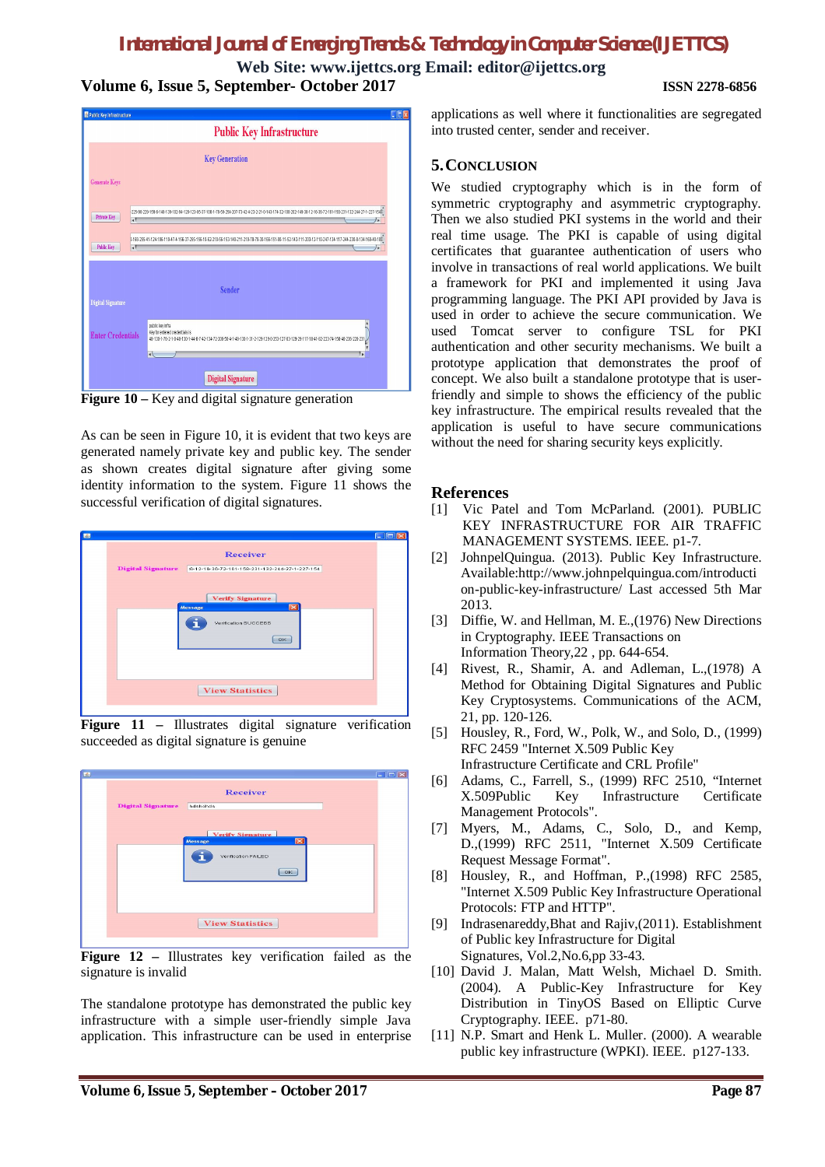**Web Site: www.ijettcs.org Email: editor@ijettcs.org Volume 6, Issue 5, September- October 2017 ISSN 2278-6856**



**Figure 10 –** Key and digital signature generation

As can be seen in Figure 10, it is evident that two keys are generated namely private key and public key. The sender as shown creates digital signature after giving some identity information to the system. Figure 11 shows the successful verification of digital signatures.



**Figure 11 –** Illustrates digital signature verification succeeded as digital signature is genuine



**Figure 12 –** Illustrates key verification failed as the signature is invalid

The standalone prototype has demonstrated the public key infrastructure with a simple user-friendly simple Java application. This infrastructure can be used in enterprise

applications as well where it functionalities are segregated into trusted center, sender and receiver.

#### **5.CONCLUSION**

We studied cryptography which is in the form of symmetric cryptography and asymmetric cryptography. Then we also studied PKI systems in the world and their real time usage. The PKI is capable of using digital certificates that guarantee authentication of users who involve in transactions of real world applications. We built a framework for PKI and implemented it using Java programming language. The PKI API provided by Java is used in order to achieve the secure communication. We used Tomcat server to configure TSL for PKI authentication and other security mechanisms. We built a prototype application that demonstrates the proof of concept. We also built a standalone prototype that is userfriendly and simple to shows the efficiency of the public key infrastructure. The empirical results revealed that the application is useful to have secure communications without the need for sharing security keys explicitly.

#### **References**

- [1] Vic Patel and Tom McParland. (2001). PUBLIC KEY INFRASTRUCTURE FOR AIR TRAFFIC MANAGEMENT SYSTEMS. IEEE. p1-7.
- [2] JohnpelQuingua. (2013). Public Key Infrastructure. Available:http://www.johnpelquingua.com/introducti on-public-key-infrastructure/ Last accessed 5th Mar 2013.
- [3] Diffie, W. and Hellman, M. E.,(1976) New Directions in Cryptography. IEEE Transactions on Information Theory,22 , pp. 644-654.
- [4] Rivest, R., Shamir, A. and Adleman, L.,(1978) A Method for Obtaining Digital Signatures and Public Key Cryptosystems. Communications of the ACM, 21, pp. 120-126.
- [5] Housley, R., Ford, W., Polk, W., and Solo, D., (1999) RFC 2459 "Internet X.509 Public Key Infrastructure Certificate and CRL Profile"
- [6] Adams, C., Farrell, S., (1999) RFC 2510, "Internet X.509Public Key Infrastructure Certificate Management Protocols".
- [7] Myers, M., Adams, C., Solo, D., and Kemp, D.,(1999) RFC 2511, "Internet X.509 Certificate Request Message Format".
- [8] Housley, R., and Hoffman, P.,(1998) RFC 2585, "Internet X.509 Public Key Infrastructure Operational Protocols: FTP and HTTP".
- [9] Indrasenareddy,Bhat and Rajiv,(2011). Establishment of Public key Infrastructure for Digital Signatures, Vol.2,No.6,pp 33-43.
- [10] David J. Malan, Matt Welsh, Michael D. Smith. (2004). A Public-Key Infrastructure for Key Distribution in TinyOS Based on Elliptic Curve Cryptography. IEEE. p71-80.
- [11] N.P. Smart and Henk L. Muller. (2000). A wearable public key infrastructure (WPKI). IEEE. p127-133.